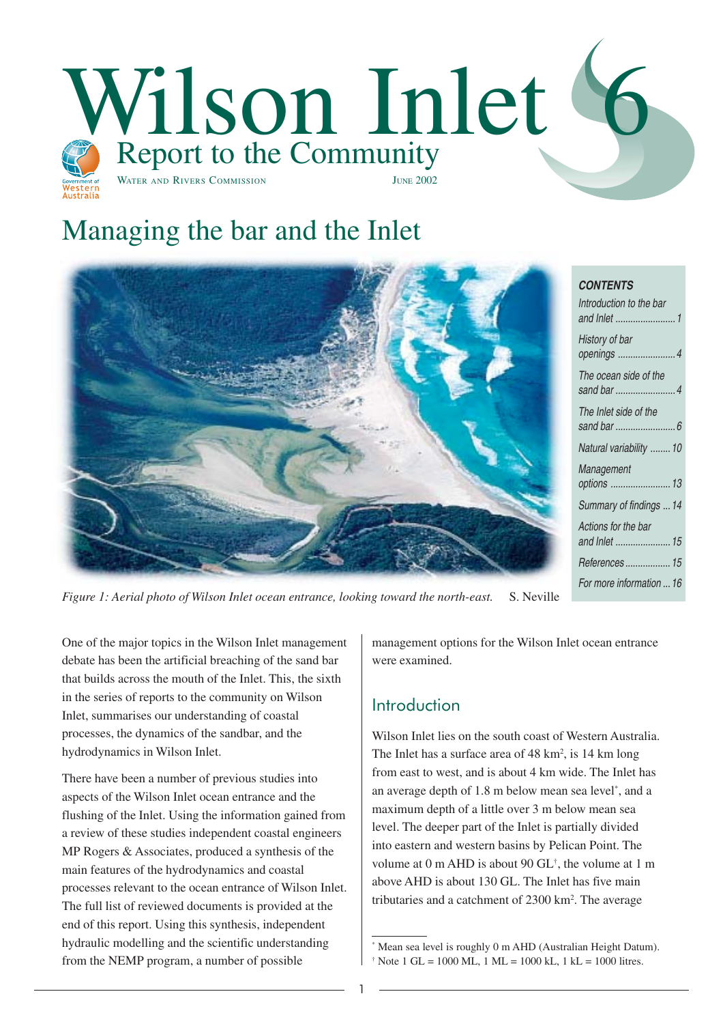

# Managing the bar and the Inlet



*Figure 1: Aerial photo of Wilson Inlet ocean entrance, looking toward the north-east.* S. Neville

One of the major topics in the Wilson Inlet management debate has been the artificial breaching of the sand bar that builds across the mouth of the Inlet. This, the sixth in the series of reports to the community on Wilson Inlet, summarises our understanding of coastal processes, the dynamics of the sandbar, and the hydrodynamics in Wilson Inlet.

There have been a number of previous studies into aspects of the Wilson Inlet ocean entrance and the flushing of the Inlet. Using the information gained from a review of these studies independent coastal engineers MP Rogers & Associates, produced a synthesis of the main features of the hydrodynamics and coastal processes relevant to the ocean entrance of Wilson Inlet. The full list of reviewed documents is provided at the end of this report. Using this synthesis, independent hydraulic modelling and the scientific understanding from the NEMP program, a number of possible

management options for the Wilson Inlet ocean entrance were examined.

# Introduction

Wilson Inlet lies on the south coast of Western Australia. The Inlet has a surface area of 48 km<sup>2</sup>, is 14 km long from east to west, and is about 4 km wide. The Inlet has an average depth of 1.8 m below mean sea level\* , and a maximum depth of a little over 3 m below mean sea level. The deeper part of the Inlet is partially divided into eastern and western basins by Pelican Point. The volume at 0 m AHD is about 90 GL† , the volume at 1 m above AHD is about 130 GL. The Inlet has five main tributaries and a catchment of 2300 km<sup>2</sup>. The average

<sup>\*</sup> Mean sea level is roughly 0 m AHD (Australian Height Datum).  $\dagger$  Note 1 GL = 1000 ML, 1 ML = 1000 kL, 1 kL = 1000 litres.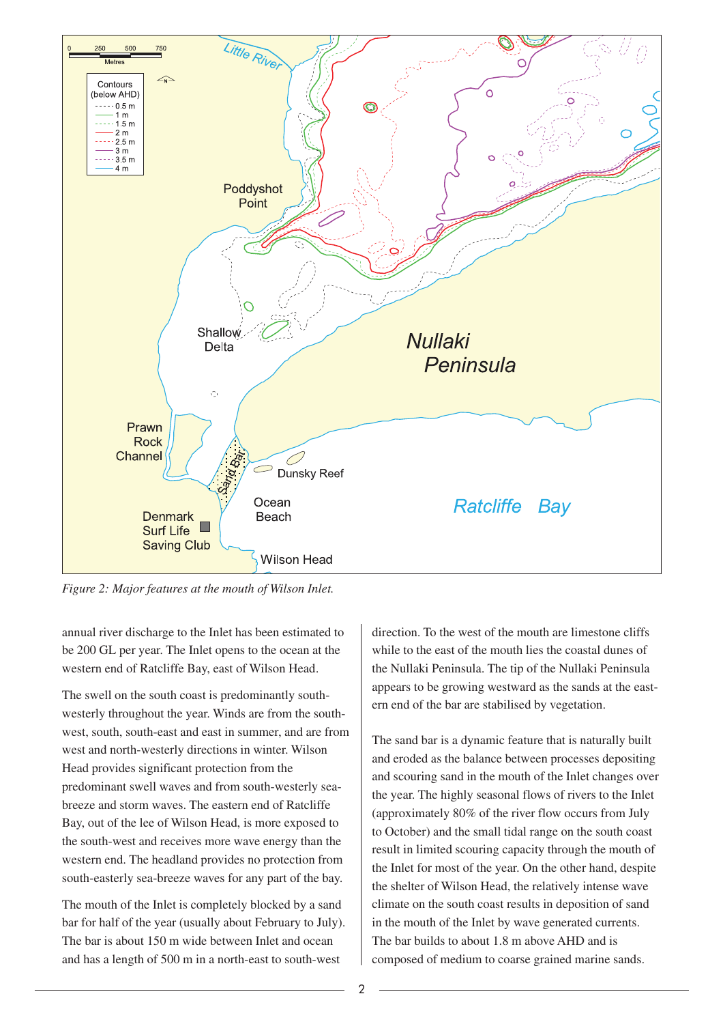

*Figure 2: Major features at the mouth of Wilson Inlet.*

annual river discharge to the Inlet has been estimated to be 200 GL per year. The Inlet opens to the ocean at the western end of Ratcliffe Bay, east of Wilson Head.

The swell on the south coast is predominantly southwesterly throughout the year. Winds are from the southwest, south, south-east and east in summer, and are from west and north-westerly directions in winter. Wilson Head provides significant protection from the predominant swell waves and from south-westerly seabreeze and storm waves. The eastern end of Ratcliffe Bay, out of the lee of Wilson Head, is more exposed to the south-west and receives more wave energy than the western end. The headland provides no protection from south-easterly sea-breeze waves for any part of the bay.

The mouth of the Inlet is completely blocked by a sand bar for half of the year (usually about February to July). The bar is about 150 m wide between Inlet and ocean and has a length of 500 m in a north-east to south-west

direction. To the west of the mouth are limestone cliffs while to the east of the mouth lies the coastal dunes of the Nullaki Peninsula. The tip of the Nullaki Peninsula appears to be growing westward as the sands at the eastern end of the bar are stabilised by vegetation.

The sand bar is a dynamic feature that is naturally built and eroded as the balance between processes depositing and scouring sand in the mouth of the Inlet changes over the year. The highly seasonal flows of rivers to the Inlet (approximately 80% of the river flow occurs from July to October) and the small tidal range on the south coast result in limited scouring capacity through the mouth of the Inlet for most of the year. On the other hand, despite the shelter of Wilson Head, the relatively intense wave climate on the south coast results in deposition of sand in the mouth of the Inlet by wave generated currents. The bar builds to about 1.8 m above AHD and is composed of medium to coarse grained marine sands.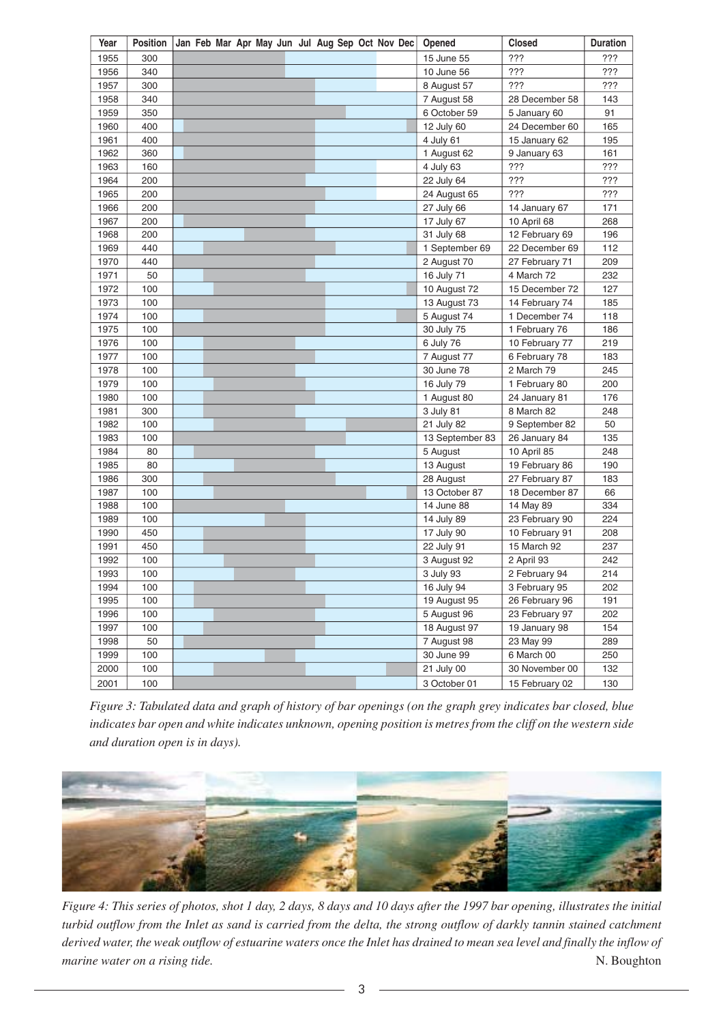| Year | <b>Position</b> | Jan Feb Mar Apr May Jun Jul Aug Sep Oct Nov Dec | Opened          | <b>Closed</b>  | <b>Duration</b> |
|------|-----------------|-------------------------------------------------|-----------------|----------------|-----------------|
| 1955 | 300             |                                                 | 15 June 55      | ???            | ???             |
| 1956 | 340             |                                                 | 10 June 56      | 722            | ???             |
| 1957 | 300             |                                                 | 8 August 57     | ???            | ???             |
| 1958 | 340             |                                                 | 7 August 58     | 28 December 58 | 143             |
| 1959 | 350             |                                                 | 6 October 59    | 5 January 60   | 91              |
| 1960 | 400             |                                                 | 12 July 60      | 24 December 60 | 165             |
| 1961 | 400             |                                                 | 4 July 61       | 15 January 62  | 195             |
| 1962 | 360             |                                                 | 1 August 62     | 9 January 63   | 161             |
| 1963 | 160             |                                                 | 4 July 63       | ???            | ???             |
| 1964 | 200             |                                                 | 22 July 64      | ???            | ???             |
| 1965 | 200             |                                                 | 24 August 65    | ???            | ???             |
| 1966 | 200             |                                                 | 27 July 66      | 14 January 67  | 171             |
| 1967 | 200             |                                                 | 17 July 67      | 10 April 68    | 268             |
| 1968 | 200             |                                                 | 31 July 68      | 12 February 69 | 196             |
| 1969 | 440             |                                                 | 1 September 69  | 22 December 69 | 112             |
| 1970 | 440             |                                                 | 2 August 70     | 27 February 71 | 209             |
| 1971 | 50              |                                                 | 16 July 71      | 4 March 72     | 232             |
| 1972 | 100             |                                                 | 10 August 72    | 15 December 72 | 127             |
| 1973 | 100             |                                                 | 13 August 73    | 14 February 74 | 185             |
| 1974 | 100             |                                                 | 5 August 74     | 1 December 74  | 118             |
| 1975 | 100             |                                                 | 30 July 75      | 1 February 76  | 186             |
| 1976 | 100             |                                                 | 6 July 76       | 10 February 77 | 219             |
| 1977 | 100             |                                                 | 7 August 77     | 6 February 78  | 183             |
| 1978 | 100             |                                                 | 30 June 78      | 2 March 79     | 245             |
| 1979 | 100             |                                                 | 16 July 79      | 1 February 80  | 200             |
| 1980 | 100             |                                                 | 1 August 80     | 24 January 81  | 176             |
| 1981 | 300             |                                                 | 3 July 81       | 8 March 82     | 248             |
| 1982 | 100             |                                                 | 21 July 82      | 9 September 82 | 50              |
| 1983 | 100             |                                                 | 13 September 83 | 26 January 84  | 135             |
| 1984 | 80              |                                                 | 5 August        | 10 April 85    | 248             |
| 1985 | 80              |                                                 | 13 August       | 19 February 86 | 190             |
| 1986 | 300             |                                                 | 28 August       | 27 February 87 | 183             |
| 1987 | 100             |                                                 | 13 October 87   | 18 December 87 | 66              |
| 1988 | 100             |                                                 | 14 June 88      | 14 May 89      | 334             |
| 1989 | 100             |                                                 | 14 July 89      | 23 February 90 | 224             |
| 1990 | 450             |                                                 | 17 July 90      | 10 February 91 | 208             |
| 1991 | 450             |                                                 | 22 July 91      | 15 March 92    | 237             |
| 1992 | 100             |                                                 | 3 August 92     | 2 April 93     | 242             |
| 1993 | 100             |                                                 | 3 July 93       | 2 February 94  | 214             |
| 1994 | 100             |                                                 | 16 July 94      | 3 February 95  | 202             |
| 1995 | 100             |                                                 | 19 August 95    | 26 February 96 | 191             |
| 1996 | 100             |                                                 | 5 August 96     | 23 February 97 | 202             |
| 1997 | 100             |                                                 | 18 August 97    | 19 January 98  | 154             |
| 1998 | 50              |                                                 | 7 August 98     | 23 May 99      | 289             |
| 1999 | 100             |                                                 | 30 June 99      | 6 March 00     | 250             |
| 2000 | 100             |                                                 | 21 July 00      | 30 November 00 | 132             |
| 2001 | 100             |                                                 | 3 October 01    | 15 February 02 | 130             |

*Figure 3: Tabulated data and graph of history of bar openings (on the graph grey indicates bar closed, blue indicates bar open and white indicates unknown, opening position is metres from the cliff on the western side and duration open is in days).*



*Figure 4: This series of photos, shot 1 day, 2 days, 8 days and 10 days after the 1997 bar opening, illustrates the initial turbid outflow from the Inlet as sand is carried from the delta, the strong outflow of darkly tannin stained catchment derived water, the weak outflow of estuarine waters once the Inlet has drained to mean sea level and finally the inflow of marine water on a rising tide.* N. Boughton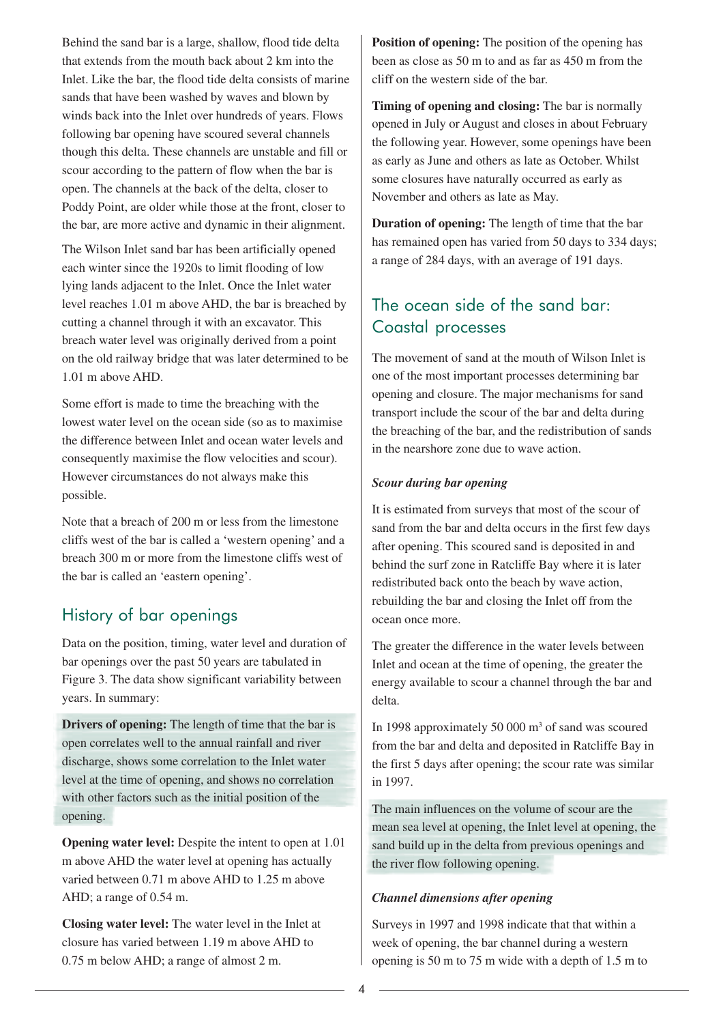Behind the sand bar is a large, shallow, flood tide delta that extends from the mouth back about 2 km into the Inlet. Like the bar, the flood tide delta consists of marine sands that have been washed by waves and blown by winds back into the Inlet over hundreds of years. Flows following bar opening have scoured several channels though this delta. These channels are unstable and fill or scour according to the pattern of flow when the bar is open. The channels at the back of the delta, closer to Poddy Point, are older while those at the front, closer to the bar, are more active and dynamic in their alignment.

The Wilson Inlet sand bar has been artificially opened each winter since the 1920s to limit flooding of low lying lands adjacent to the Inlet. Once the Inlet water level reaches 1.01 m above AHD, the bar is breached by cutting a channel through it with an excavator. This breach water level was originally derived from a point on the old railway bridge that was later determined to be 1.01 m above AHD.

Some effort is made to time the breaching with the lowest water level on the ocean side (so as to maximise the difference between Inlet and ocean water levels and consequently maximise the flow velocities and scour). However circumstances do not always make this possible.

Note that a breach of 200 m or less from the limestone cliffs west of the bar is called a 'western opening' and a breach 300 m or more from the limestone cliffs west of the bar is called an 'eastern opening'.

### History of bar openings

Data on the position, timing, water level and duration of bar openings over the past 50 years are tabulated in Figure 3. The data show significant variability between years. In summary:

**Drivers of opening:** The length of time that the bar is open correlates well to the annual rainfall and river discharge, shows some correlation to the Inlet water level at the time of opening, and shows no correlation with other factors such as the initial position of the opening.

**Opening water level:** Despite the intent to open at 1.01 m above AHD the water level at opening has actually varied between 0.71 m above AHD to 1.25 m above AHD; a range of 0.54 m.

**Closing water level:** The water level in the Inlet at closure has varied between 1.19 m above AHD to 0.75 m below AHD; a range of almost 2 m.

**Position of opening:** The position of the opening has been as close as 50 m to and as far as 450 m from the cliff on the western side of the bar.

**Timing of opening and closing:** The bar is normally opened in July or August and closes in about February the following year. However, some openings have been as early as June and others as late as October. Whilst some closures have naturally occurred as early as November and others as late as May.

**Duration of opening:** The length of time that the bar has remained open has varied from 50 days to 334 days; a range of 284 days, with an average of 191 days.

# The ocean side of the sand bar: Coastal processes

The movement of sand at the mouth of Wilson Inlet is one of the most important processes determining bar opening and closure. The major mechanisms for sand transport include the scour of the bar and delta during the breaching of the bar, and the redistribution of sands in the nearshore zone due to wave action.

#### *Scour during bar opening*

It is estimated from surveys that most of the scour of sand from the bar and delta occurs in the first few days after opening. This scoured sand is deposited in and behind the surf zone in Ratcliffe Bay where it is later redistributed back onto the beach by wave action, rebuilding the bar and closing the Inlet off from the ocean once more.

The greater the difference in the water levels between Inlet and ocean at the time of opening, the greater the energy available to scour a channel through the bar and delta.

In 1998 approximately 50 000  $\mathrm{m}^3$  of sand was scoured from the bar and delta and deposited in Ratcliffe Bay in the first 5 days after opening; the scour rate was similar in 1997.

The main influences on the volume of scour are the mean sea level at opening, the Inlet level at opening, the sand build up in the delta from previous openings and the river flow following opening.

#### *Channel dimensions after opening*

Surveys in 1997 and 1998 indicate that that within a week of opening, the bar channel during a western opening is 50 m to 75 m wide with a depth of 1.5 m to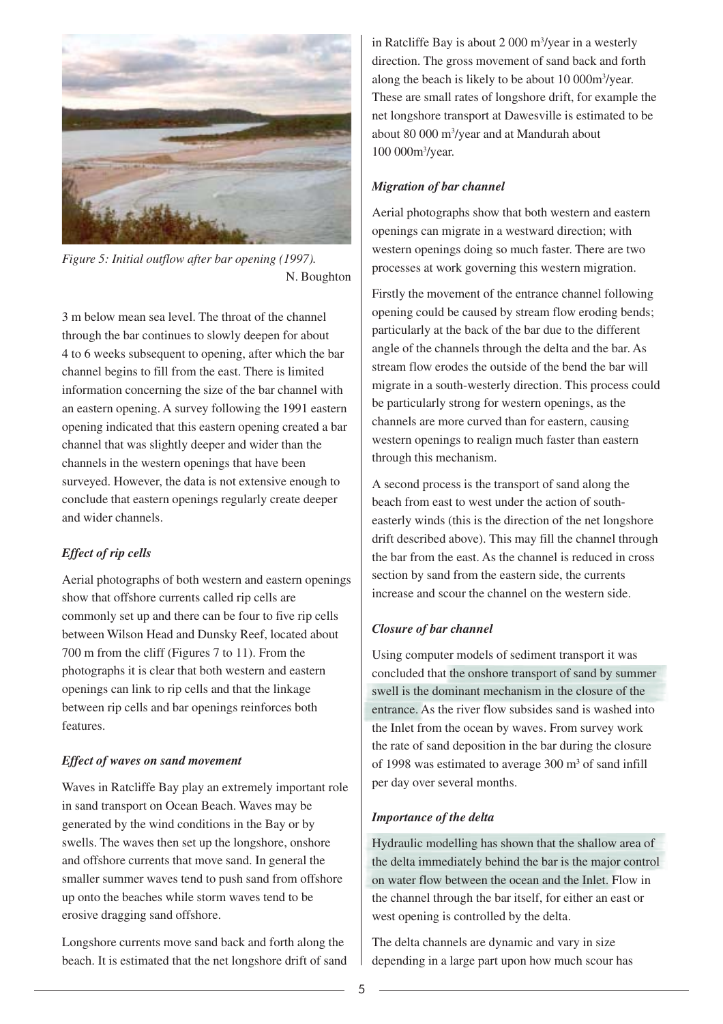

*Figure 5: Initial outflow after bar opening (1997).* N. Boughton

3 m below mean sea level. The throat of the channel through the bar continues to slowly deepen for about 4 to 6 weeks subsequent to opening, after which the bar channel begins to fill from the east. There is limited information concerning the size of the bar channel with an eastern opening. A survey following the 1991 eastern opening indicated that this eastern opening created a bar channel that was slightly deeper and wider than the channels in the western openings that have been surveyed. However, the data is not extensive enough to conclude that eastern openings regularly create deeper and wider channels.

#### *Effect of rip cells*

Aerial photographs of both western and eastern openings show that offshore currents called rip cells are commonly set up and there can be four to five rip cells between Wilson Head and Dunsky Reef, located about 700 m from the cliff (Figures 7 to 11). From the photographs it is clear that both western and eastern openings can link to rip cells and that the linkage between rip cells and bar openings reinforces both features.

#### *Effect of waves on sand movement*

Waves in Ratcliffe Bay play an extremely important role in sand transport on Ocean Beach. Waves may be generated by the wind conditions in the Bay or by swells. The waves then set up the longshore, onshore and offshore currents that move sand. In general the smaller summer waves tend to push sand from offshore up onto the beaches while storm waves tend to be erosive dragging sand offshore.

Longshore currents move sand back and forth along the beach. It is estimated that the net longshore drift of sand

in Ratcliffe Bay is about 2 000 m<sup>3</sup>/year in a westerly direction. The gross movement of sand back and forth along the beach is likely to be about 10 000m<sup>3</sup>/year. These are small rates of longshore drift, for example the net longshore transport at Dawesville is estimated to be about 80 000 m3 /year and at Mandurah about 100 000m3 /year.

#### *Migration of bar channel*

Aerial photographs show that both western and eastern openings can migrate in a westward direction; with western openings doing so much faster. There are two processes at work governing this western migration.

Firstly the movement of the entrance channel following opening could be caused by stream flow eroding bends; particularly at the back of the bar due to the different angle of the channels through the delta and the bar. As stream flow erodes the outside of the bend the bar will migrate in a south-westerly direction. This process could be particularly strong for western openings, as the channels are more curved than for eastern, causing western openings to realign much faster than eastern through this mechanism.

A second process is the transport of sand along the beach from east to west under the action of southeasterly winds (this is the direction of the net longshore drift described above). This may fill the channel through the bar from the east. As the channel is reduced in cross section by sand from the eastern side, the currents increase and scour the channel on the western side.

#### *Closure of bar channel*

Using computer models of sediment transport it was concluded that the onshore transport of sand by summer swell is the dominant mechanism in the closure of the entrance. As the river flow subsides sand is washed into the Inlet from the ocean by waves. From survey work the rate of sand deposition in the bar during the closure of 1998 was estimated to average 300 m<sup>3</sup> of sand infill per day over several months.

#### *Importance of the delta*

Hydraulic modelling has shown that the shallow area of the delta immediately behind the bar is the major control on water flow between the ocean and the Inlet. Flow in the channel through the bar itself, for either an east or west opening is controlled by the delta.

The delta channels are dynamic and vary in size depending in a large part upon how much scour has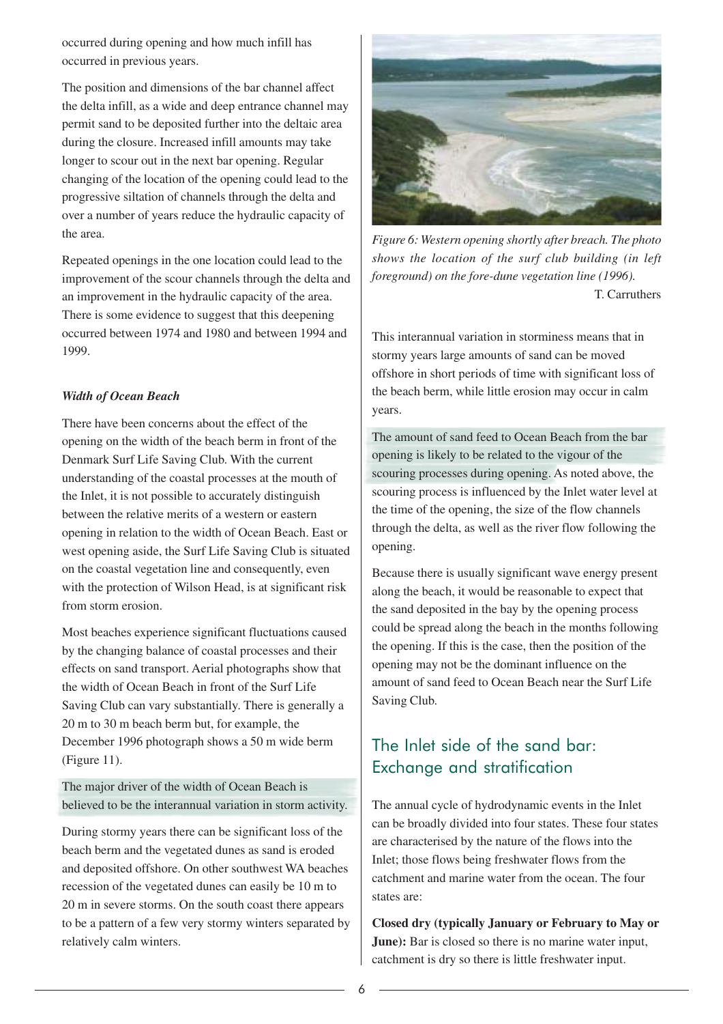occurred during opening and how much infill has occurred in previous years.

The position and dimensions of the bar channel affect the delta infill, as a wide and deep entrance channel may permit sand to be deposited further into the deltaic area during the closure. Increased infill amounts may take longer to scour out in the next bar opening. Regular changing of the location of the opening could lead to the progressive siltation of channels through the delta and over a number of years reduce the hydraulic capacity of the area.

Repeated openings in the one location could lead to the improvement of the scour channels through the delta and an improvement in the hydraulic capacity of the area. There is some evidence to suggest that this deepening occurred between 1974 and 1980 and between 1994 and 1999.

#### *Width of Ocean Beach*

There have been concerns about the effect of the opening on the width of the beach berm in front of the Denmark Surf Life Saving Club. With the current understanding of the coastal processes at the mouth of the Inlet, it is not possible to accurately distinguish between the relative merits of a western or eastern opening in relation to the width of Ocean Beach. East or west opening aside, the Surf Life Saving Club is situated on the coastal vegetation line and consequently, even with the protection of Wilson Head, is at significant risk from storm erosion.

Most beaches experience significant fluctuations caused by the changing balance of coastal processes and their effects on sand transport. Aerial photographs show that the width of Ocean Beach in front of the Surf Life Saving Club can vary substantially. There is generally a 20 m to 30 m beach berm but, for example, the December 1996 photograph shows a 50 m wide berm (Figure 11).

The major driver of the width of Ocean Beach is believed to be the interannual variation in storm activity.

During stormy years there can be significant loss of the beach berm and the vegetated dunes as sand is eroded and deposited offshore. On other southwest WA beaches recession of the vegetated dunes can easily be 10 m to 20 m in severe storms. On the south coast there appears to be a pattern of a few very stormy winters separated by relatively calm winters.



*Figure 6: Western opening shortly after breach. The photo shows the location of the surf club building (in left foreground) on the fore-dune vegetation line (1996).* T. Carruthers

This interannual variation in storminess means that in stormy years large amounts of sand can be moved offshore in short periods of time with significant loss of the beach berm, while little erosion may occur in calm years.

The amount of sand feed to Ocean Beach from the bar opening is likely to be related to the vigour of the scouring processes during opening. As noted above, the scouring process is influenced by the Inlet water level at the time of the opening, the size of the flow channels through the delta, as well as the river flow following the opening.

Because there is usually significant wave energy present along the beach, it would be reasonable to expect that the sand deposited in the bay by the opening process could be spread along the beach in the months following the opening. If this is the case, then the position of the opening may not be the dominant influence on the amount of sand feed to Ocean Beach near the Surf Life Saving Club.

# The Inlet side of the sand bar: Exchange and stratification

The annual cycle of hydrodynamic events in the Inlet can be broadly divided into four states. These four states are characterised by the nature of the flows into the Inlet; those flows being freshwater flows from the catchment and marine water from the ocean. The four states are:

**Closed dry (typically January or February to May or June**): Bar is closed so there is no marine water input, catchment is dry so there is little freshwater input.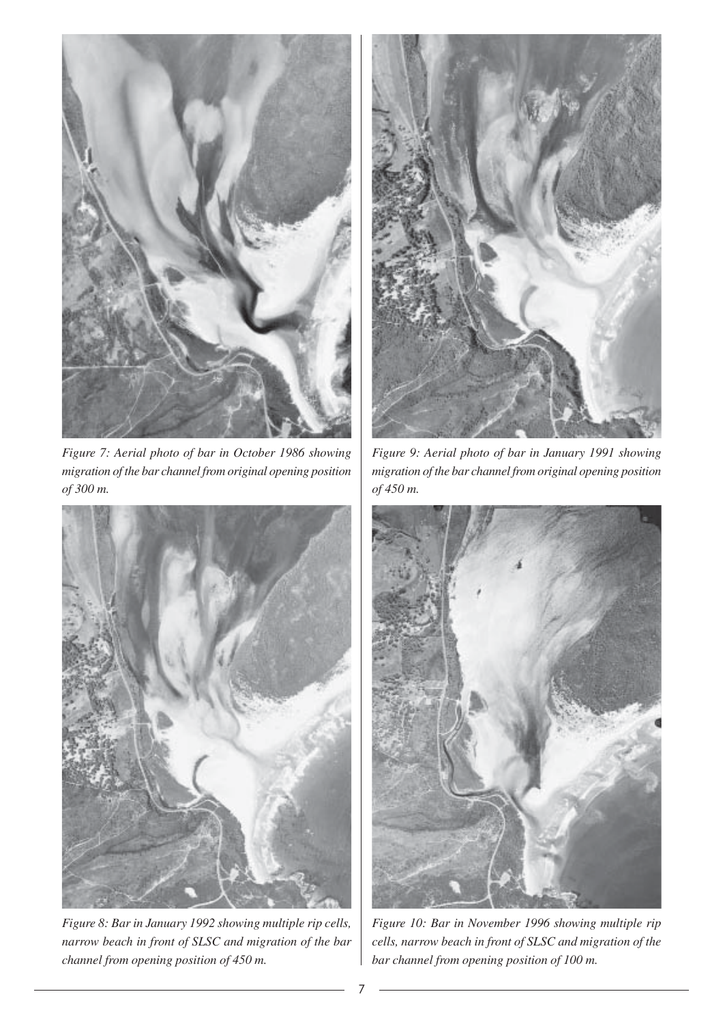

*Figure 7: Aerial photo of bar in October 1986 showing migration of the bar channel from original opening position of 300 m.*



*Figure 8: Bar in January 1992 showing multiple rip cells, narrow beach in front of SLSC and migration of the bar channel from opening position of 450 m.*



*Figure 9: Aerial photo of bar in January 1991 showing migration of the bar channel from original opening position of 450 m.*



*Figure 10: Bar in November 1996 showing multiple rip cells, narrow beach in front of SLSC and migration of the bar channel from opening position of 100 m.*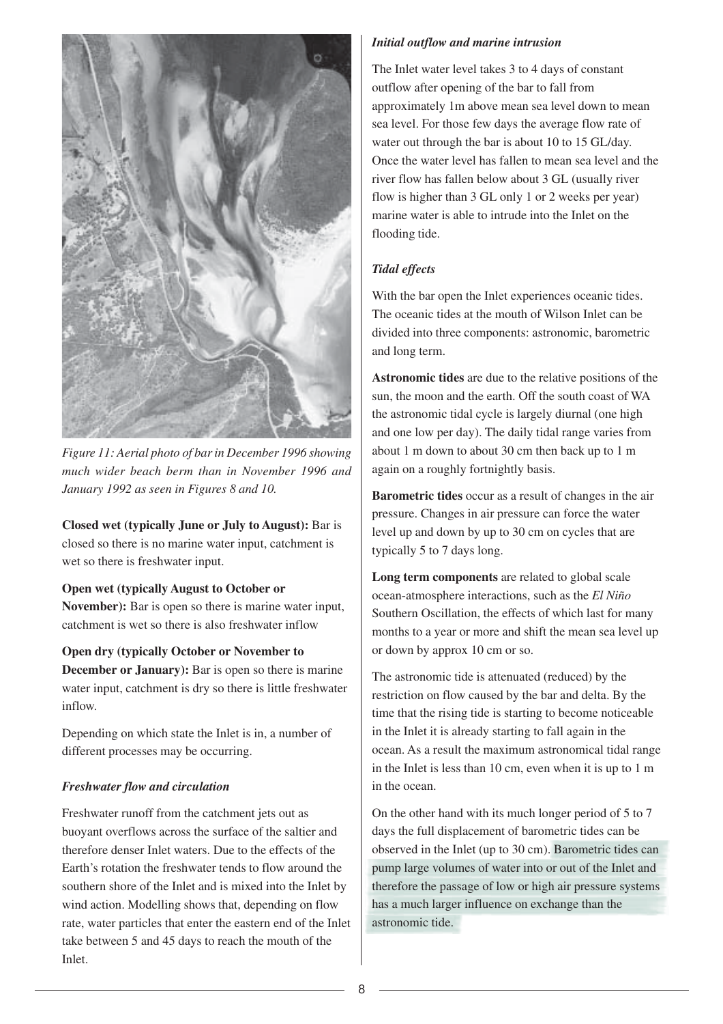

*Figure 11: Aerial photo of bar in December 1996 showing much wider beach berm than in November 1996 and January 1992 as seen in Figures 8 and 10.*

**Closed wet (typically June or July to August):** Bar is closed so there is no marine water input, catchment is wet so there is freshwater input.

#### **Open wet (typically August to October or**

**November):** Bar is open so there is marine water input, catchment is wet so there is also freshwater inflow

#### **Open dry (typically October or November to**

**December or January):** Bar is open so there is marine water input, catchment is dry so there is little freshwater inflow.

Depending on which state the Inlet is in, a number of different processes may be occurring.

#### *Freshwater flow and circulation*

Freshwater runoff from the catchment jets out as buoyant overflows across the surface of the saltier and therefore denser Inlet waters. Due to the effects of the Earth's rotation the freshwater tends to flow around the southern shore of the Inlet and is mixed into the Inlet by wind action. Modelling shows that, depending on flow rate, water particles that enter the eastern end of the Inlet take between 5 and 45 days to reach the mouth of the Inlet.

#### *Initial outflow and marine intrusion*

The Inlet water level takes 3 to 4 days of constant outflow after opening of the bar to fall from approximately 1m above mean sea level down to mean sea level. For those few days the average flow rate of water out through the bar is about 10 to 15 GL/day. Once the water level has fallen to mean sea level and the river flow has fallen below about 3 GL (usually river flow is higher than 3 GL only 1 or 2 weeks per year) marine water is able to intrude into the Inlet on the flooding tide.

#### *Tidal effects*

With the bar open the Inlet experiences oceanic tides. The oceanic tides at the mouth of Wilson Inlet can be divided into three components: astronomic, barometric and long term.

**Astronomic tides** are due to the relative positions of the sun, the moon and the earth. Off the south coast of WA the astronomic tidal cycle is largely diurnal (one high and one low per day). The daily tidal range varies from about 1 m down to about 30 cm then back up to 1 m again on a roughly fortnightly basis.

**Barometric tides** occur as a result of changes in the air pressure. Changes in air pressure can force the water level up and down by up to 30 cm on cycles that are typically 5 to 7 days long.

**Long term components** are related to global scale ocean-atmosphere interactions, such as the *El Niño* Southern Oscillation, the effects of which last for many months to a year or more and shift the mean sea level up or down by approx 10 cm or so.

The astronomic tide is attenuated (reduced) by the restriction on flow caused by the bar and delta. By the time that the rising tide is starting to become noticeable in the Inlet it is already starting to fall again in the ocean. As a result the maximum astronomical tidal range in the Inlet is less than 10 cm, even when it is up to 1 m in the ocean.

On the other hand with its much longer period of 5 to 7 days the full displacement of barometric tides can be observed in the Inlet (up to 30 cm). Barometric tides can pump large volumes of water into or out of the Inlet and therefore the passage of low or high air pressure systems has a much larger influence on exchange than the astronomic tide.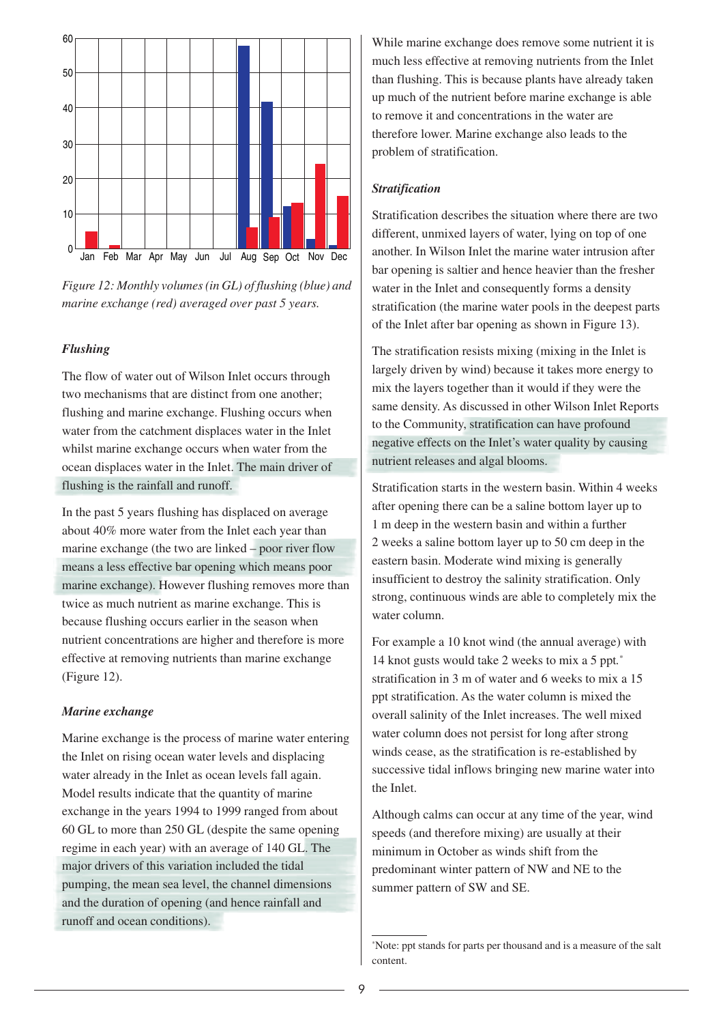

*Figure 12: Monthly volumes (in GL) of flushing (blue) and marine exchange (red) averaged over past 5 years.*

#### *Flushing*

The flow of water out of Wilson Inlet occurs through two mechanisms that are distinct from one another; flushing and marine exchange. Flushing occurs when water from the catchment displaces water in the Inlet whilst marine exchange occurs when water from the ocean displaces water in the Inlet. The main driver of flushing is the rainfall and runoff.

In the past 5 years flushing has displaced on average about 40% more water from the Inlet each year than marine exchange (the two are linked – poor river flow means a less effective bar opening which means poor marine exchange). However flushing removes more than twice as much nutrient as marine exchange. This is because flushing occurs earlier in the season when nutrient concentrations are higher and therefore is more effective at removing nutrients than marine exchange (Figure 12).

#### *Marine exchange*

Marine exchange is the process of marine water entering the Inlet on rising ocean water levels and displacing water already in the Inlet as ocean levels fall again. Model results indicate that the quantity of marine exchange in the years 1994 to 1999 ranged from about 60 GL to more than 250 GL (despite the same opening regime in each year) with an average of 140 GL. The major drivers of this variation included the tidal pumping, the mean sea level, the channel dimensions and the duration of opening (and hence rainfall and runoff and ocean conditions).

While marine exchange does remove some nutrient it is much less effective at removing nutrients from the Inlet than flushing. This is because plants have already taken up much of the nutrient before marine exchange is able to remove it and concentrations in the water are therefore lower. Marine exchange also leads to the problem of stratification.

#### *Stratification*

Stratification describes the situation where there are two different, unmixed layers of water, lying on top of one another. In Wilson Inlet the marine water intrusion after bar opening is saltier and hence heavier than the fresher water in the Inlet and consequently forms a density stratification (the marine water pools in the deepest parts of the Inlet after bar opening as shown in Figure 13).

The stratification resists mixing (mixing in the Inlet is largely driven by wind) because it takes more energy to mix the layers together than it would if they were the same density. As discussed in other Wilson Inlet Reports to the Community, stratification can have profound negative effects on the Inlet's water quality by causing nutrient releases and algal blooms.

Stratification starts in the western basin. Within 4 weeks after opening there can be a saline bottom layer up to 1 m deep in the western basin and within a further 2 weeks a saline bottom layer up to 50 cm deep in the eastern basin. Moderate wind mixing is generally insufficient to destroy the salinity stratification. Only strong, continuous winds are able to completely mix the water column.

For example a 10 knot wind (the annual average) with 14 knot gusts would take 2 weeks to mix a 5 ppt*.* \* stratification in 3 m of water and 6 weeks to mix a 15 ppt stratification. As the water column is mixed the overall salinity of the Inlet increases. The well mixed water column does not persist for long after strong winds cease, as the stratification is re-established by successive tidal inflows bringing new marine water into the Inlet.

Although calms can occur at any time of the year, wind speeds (and therefore mixing) are usually at their minimum in October as winds shift from the predominant winter pattern of NW and NE to the summer pattern of SW and SE.

<sup>\*</sup> Note: ppt stands for parts per thousand and is a measure of the salt content.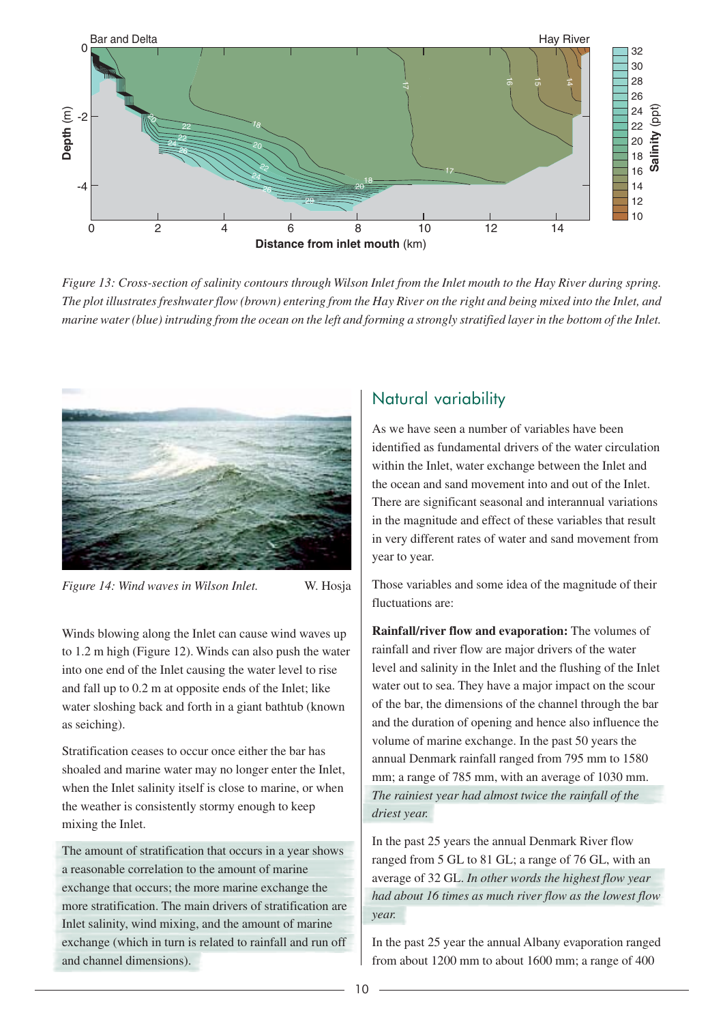

*Figure 13: Cross-section of salinity contours through Wilson Inlet from the Inlet mouth to the Hay River during spring. The plot illustrates freshwater flow (brown) entering from the Hay River on the right and being mixed into the Inlet, and marine water (blue) intruding from the ocean on the left and forming a strongly stratified layer in the bottom of the Inlet.*



*Figure 14: Wind waves in Wilson Inlet.* W. Hosja

Winds blowing along the Inlet can cause wind waves up to 1.2 m high (Figure 12). Winds can also push the water into one end of the Inlet causing the water level to rise and fall up to 0.2 m at opposite ends of the Inlet; like water sloshing back and forth in a giant bathtub (known as seiching).

Stratification ceases to occur once either the bar has shoaled and marine water may no longer enter the Inlet, when the Inlet salinity itself is close to marine, or when the weather is consistently stormy enough to keep mixing the Inlet.

The amount of stratification that occurs in a year shows a reasonable correlation to the amount of marine exchange that occurs; the more marine exchange the more stratification. The main drivers of stratification are Inlet salinity, wind mixing, and the amount of marine exchange (which in turn is related to rainfall and run off and channel dimensions).

# Natural variability

As we have seen a number of variables have been identified as fundamental drivers of the water circulation within the Inlet, water exchange between the Inlet and the ocean and sand movement into and out of the Inlet. There are significant seasonal and interannual variations in the magnitude and effect of these variables that result in very different rates of water and sand movement from year to year.

Those variables and some idea of the magnitude of their fluctuations are:

**Rainfall/river flow and evaporation:** The volumes of rainfall and river flow are major drivers of the water level and salinity in the Inlet and the flushing of the Inlet water out to sea. They have a major impact on the scour of the bar, the dimensions of the channel through the bar and the duration of opening and hence also influence the volume of marine exchange. In the past 50 years the annual Denmark rainfall ranged from 795 mm to 1580 mm; a range of 785 mm, with an average of 1030 mm. *The rainiest year had almost twice the rainfall of the driest year.*

In the past 25 years the annual Denmark River flow ranged from 5 GL to 81 GL; a range of 76 GL, with an average of 32 GL. *In other words the highest flow year had about 16 times as much river flow as the lowest flow year.*

In the past 25 year the annual Albany evaporation ranged from about 1200 mm to about 1600 mm; a range of 400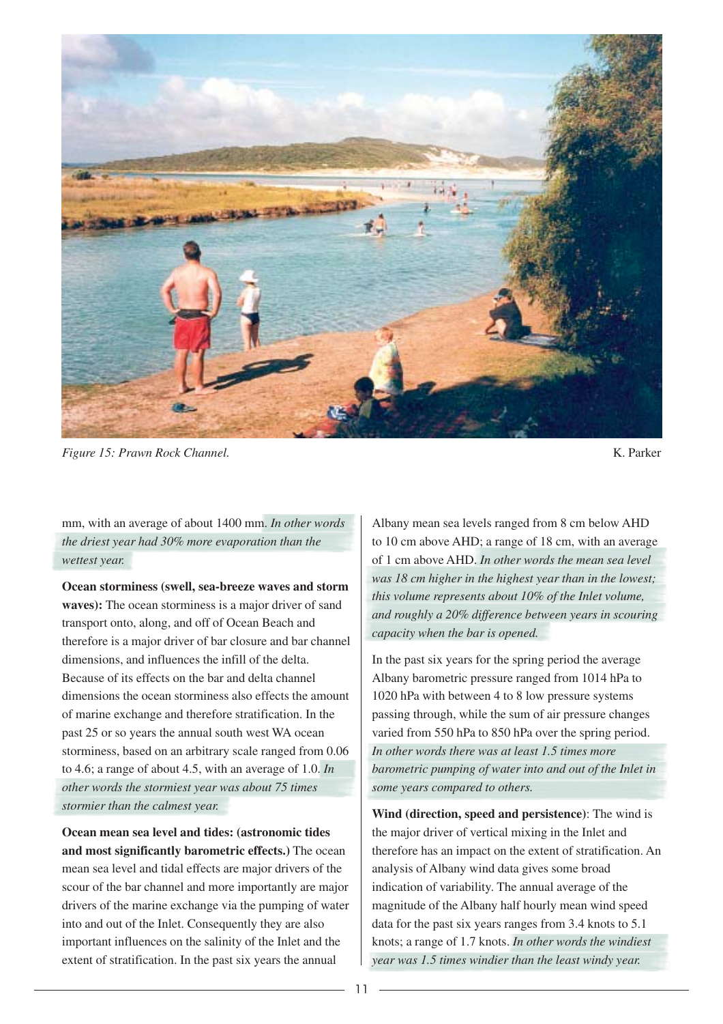

*Figure 15: Prawn Rock Channel.* K. Parker  $K$ . Parker  $K$ . Parker  $K$ . Parker  $K$ . Parker  $K$ . Parker  $K$ . Parker  $K$ . Parker  $K$ . Parker  $K$ . Parker  $K$ . Parker  $K$ . Parker  $K$ . Parker  $K$ . Parker  $K$ . Parker  $K$ . Parker

mm, with an average of about 1400 mm. *In other words the driest year had 30% more evaporation than the wettest year.*

**Ocean storminess (swell, sea-breeze waves and storm waves):** The ocean storminess is a major driver of sand transport onto, along, and off of Ocean Beach and therefore is a major driver of bar closure and bar channel dimensions, and influences the infill of the delta. Because of its effects on the bar and delta channel dimensions the ocean storminess also effects the amount of marine exchange and therefore stratification. In the past 25 or so years the annual south west WA ocean storminess, based on an arbitrary scale ranged from 0.06 to 4.6; a range of about 4.5, with an average of 1.0. *In other words the stormiest year was about 75 times stormier than the calmest year.*

**Ocean mean sea level and tides: (astronomic tides and most significantly barometric effects.)** The ocean mean sea level and tidal effects are major drivers of the scour of the bar channel and more importantly are major drivers of the marine exchange via the pumping of water into and out of the Inlet. Consequently they are also important influences on the salinity of the Inlet and the extent of stratification. In the past six years the annual

Albany mean sea levels ranged from 8 cm below AHD to 10 cm above AHD; a range of 18 cm, with an average of 1 cm above AHD. *In other words the mean sea level was 18 cm higher in the highest year than in the lowest; this volume represents about 10% of the Inlet volume, and roughly a 20% difference between years in scouring capacity when the bar is opened.*

In the past six years for the spring period the average Albany barometric pressure ranged from 1014 hPa to 1020 hPa with between 4 to 8 low pressure systems passing through, while the sum of air pressure changes varied from 550 hPa to 850 hPa over the spring period. *In other words there was at least 1.5 times more barometric pumping of water into and out of the Inlet in some years compared to others.*

**Wind (direction, speed and persistence)**: The wind is the major driver of vertical mixing in the Inlet and therefore has an impact on the extent of stratification. An analysis of Albany wind data gives some broad indication of variability. The annual average of the magnitude of the Albany half hourly mean wind speed data for the past six years ranges from 3.4 knots to 5.1 knots; a range of 1.7 knots. *In other words the windiest year was 1.5 times windier than the least windy year.*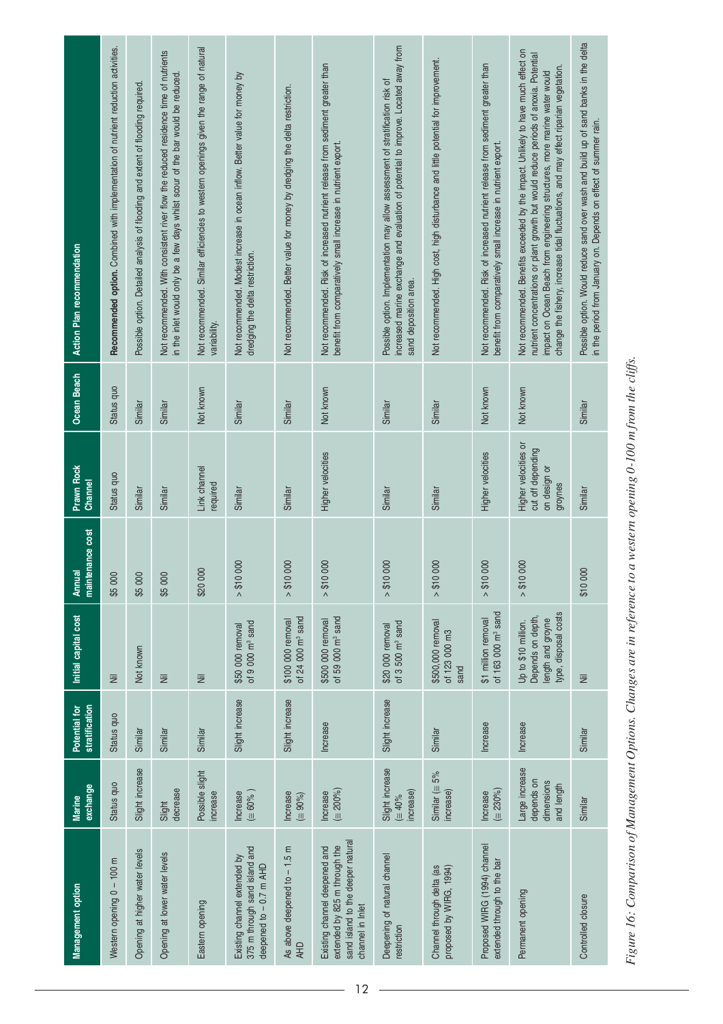| Management option                                                                                                       | exchange<br><b>Marine</b>                                | stratification<br>Potential for | Initial capital cost                                                                  | maintenance cost<br>Annual | <b>Prawn Rock</b><br>Channel                                         | <b>Ocean Beach</b> | <b>Action Plan recommendation</b>                                                                                                                                                                                                                                                                                                                |
|-------------------------------------------------------------------------------------------------------------------------|----------------------------------------------------------|---------------------------------|---------------------------------------------------------------------------------------|----------------------------|----------------------------------------------------------------------|--------------------|--------------------------------------------------------------------------------------------------------------------------------------------------------------------------------------------------------------------------------------------------------------------------------------------------------------------------------------------------|
| Western opening 0 - 100 m                                                                                               | Status quo                                               | Status quo                      | W                                                                                     | \$5 000                    | Status quo                                                           | Status quo         | Recommended option. Combined with implementation of nutrient reduction activities.                                                                                                                                                                                                                                                               |
| Opening at higher water levels                                                                                          | Slight increase                                          | Similar                         | Not known                                                                             | \$5 000                    | Similar                                                              | Similar            | Possible option. Detailed analysis of flooding and extent of flooding required                                                                                                                                                                                                                                                                   |
| Opening at lower water levels                                                                                           | decrease<br>Slight                                       | Similar                         | W                                                                                     | \$5 000                    | Similar                                                              | Similar            | Not recommended. With consistent river flow the reduced residence time of nutrients<br>in the inlet would only be a few days whilst scour of the bar would be reduced                                                                                                                                                                            |
| Eastern opening                                                                                                         | Possible slight<br>increase                              | Similar                         | $\overline{\Xi}$                                                                      | \$20 000                   | Link channel<br>required                                             | Not known          | Not recommended. Similar efficiencies to western openings given the range of natural<br>variability.                                                                                                                                                                                                                                             |
| 375 m through sand island and<br>Existing channel extended by<br>deepened to - 0.7 m AHD                                | $(\equiv 60\%$ )<br><b>Increase</b>                      | Slight increase                 | of $9000 \text{ m}^3$ sand<br>\$50 000 removal                                        | 000<br>> \$10              | Similar                                                              | Similar            | Not recommended. Modest increase in ocean inflow. Better value for money by<br>dredging the delta restriction.                                                                                                                                                                                                                                   |
| As above deepened to - 1.5 m<br><b>AHD</b>                                                                              | <b>Increase</b><br>$(\equiv 90\%)$                       | Slight increase                 | of 24 000 m <sup>3</sup> sand<br>\$100 000 removal                                    | 000<br>> \$10              | Similar                                                              | Similar            | Not recommended. Better value for money by dredging the delta restriction.                                                                                                                                                                                                                                                                       |
| sand island to the deeper natural<br>extended by 825 m through the<br>Existing channel deepened and<br>channel in Inlet | $(\equiv 200\%)$<br>Increase                             | Increase                        | of 59 000 $m^3$ sand<br>\$500 000 removal                                             | 000<br>> \$10              | Higher velocities                                                    | Not known          | Not recommended. Risk of increased nutrient release from sediment greater than<br>benefit from comparatively small increase in nutrient export.                                                                                                                                                                                                  |
| Deepening of natural channel<br>restriction                                                                             | Slight increase<br>increase)<br>$( \equiv 40\%$          | Slight increase                 | of $3,500$ m <sup>3</sup> sand<br>\$20 000 removal                                    | 000<br>> \$10              | Similar                                                              | Similar            | increased marine exchange and evaluation of potential to improve. Located away from<br>Possible option. Implementation may allow assessment of stratification risk of<br>sand deposition area.                                                                                                                                                   |
| Channel through delta (as<br>proposed by WIRG, 1994)                                                                    | Similar ( $\equiv$ 5%<br>increase)                       | Similar                         | \$500,000 removal<br>of 123 000 m3<br>sand                                            | 000<br>> \$10              | Similar                                                              | Similar            | Not recommended. High cost, high disturbance and little potential for improvement.                                                                                                                                                                                                                                                               |
| Proposed WIRG (1994) channel<br>extended through to the bar                                                             | $(\equiv 230\%)$<br>Increase                             | Increase                        | of 163 000 $m3$ sand<br>\$1 million removal                                           | 000<br>> \$10              | Higher velocities                                                    | Not known          | Not recommended. Risk of increased nutrient release from sediment greater than<br>benefit from comparatively small increase in nutrient export.                                                                                                                                                                                                  |
| Permanent opening                                                                                                       | Large increase<br>depends on<br>dimensions<br>and length | Increase                        | type, disposal costs<br>Depends on depth,<br>length and groyne<br>Up to \$10 million. | 000<br>> \$10              | Higher velocities or<br>cut off depending<br>on design or<br>groynes | Not known          | Not recommended. Benefits exceeded by the impact. Unlikely to have much effect on<br>nutrient concentrations or plant growth but would reduce periods of anoxia. Potential<br>change the fishery, increase tidal fluctuations, and may effect riparian vegetation.<br>impact on Ocean Beach from engineering structures, more marine water would |
| Controlled closure                                                                                                      | Similar                                                  | Similar                         | Ξ                                                                                     | \$10 000                   | Similar                                                              | Similar            | Possible option. Would reduce sand over wash and build up of sand banks in the delta<br>in the period from January on. Depends on effect of summer rain.                                                                                                                                                                                         |

Figure 16: Comparison of Management Options. Changes are in reference to a western opening 0-100 m from the cliffs. *Figure 16: Comparison of Management Options. Changes are in reference to a western opening 0-100 m from the cliffs.*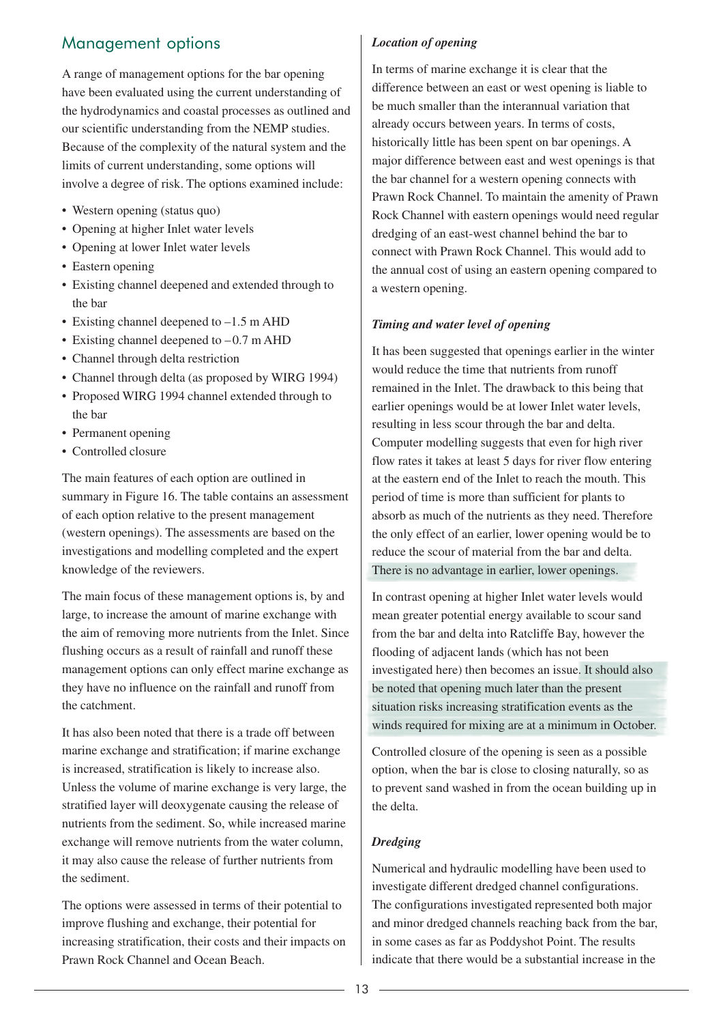# Management options

A range of management options for the bar opening have been evaluated using the current understanding of the hydrodynamics and coastal processes as outlined and our scientific understanding from the NEMP studies. Because of the complexity of the natural system and the limits of current understanding, some options will involve a degree of risk. The options examined include:

- Western opening (status quo)
- Opening at higher Inlet water levels
- Opening at lower Inlet water levels
- Eastern opening
- Existing channel deepened and extended through to the bar
- Existing channel deepened to  $-1.5$  m AHD
- Existing channel deepened to  $-0.7$  m AHD
- Channel through delta restriction
- Channel through delta (as proposed by WIRG 1994)
- Proposed WIRG 1994 channel extended through to the bar
- Permanent opening
- Controlled closure

The main features of each option are outlined in summary in Figure 16. The table contains an assessment of each option relative to the present management (western openings). The assessments are based on the investigations and modelling completed and the expert knowledge of the reviewers.

The main focus of these management options is, by and large, to increase the amount of marine exchange with the aim of removing more nutrients from the Inlet. Since flushing occurs as a result of rainfall and runoff these management options can only effect marine exchange as they have no influence on the rainfall and runoff from the catchment.

It has also been noted that there is a trade off between marine exchange and stratification; if marine exchange is increased, stratification is likely to increase also. Unless the volume of marine exchange is very large, the stratified layer will deoxygenate causing the release of nutrients from the sediment. So, while increased marine exchange will remove nutrients from the water column, it may also cause the release of further nutrients from the sediment.

The options were assessed in terms of their potential to improve flushing and exchange, their potential for increasing stratification, their costs and their impacts on Prawn Rock Channel and Ocean Beach.

#### *Location of opening*

In terms of marine exchange it is clear that the difference between an east or west opening is liable to be much smaller than the interannual variation that already occurs between years. In terms of costs, historically little has been spent on bar openings. A major difference between east and west openings is that the bar channel for a western opening connects with Prawn Rock Channel. To maintain the amenity of Prawn Rock Channel with eastern openings would need regular dredging of an east-west channel behind the bar to connect with Prawn Rock Channel. This would add to the annual cost of using an eastern opening compared to a western opening.

#### *Timing and water level of opening*

It has been suggested that openings earlier in the winter would reduce the time that nutrients from runoff remained in the Inlet. The drawback to this being that earlier openings would be at lower Inlet water levels, resulting in less scour through the bar and delta. Computer modelling suggests that even for high river flow rates it takes at least 5 days for river flow entering at the eastern end of the Inlet to reach the mouth. This period of time is more than sufficient for plants to absorb as much of the nutrients as they need. Therefore the only effect of an earlier, lower opening would be to reduce the scour of material from the bar and delta. There is no advantage in earlier, lower openings.

In contrast opening at higher Inlet water levels would mean greater potential energy available to scour sand from the bar and delta into Ratcliffe Bay, however the flooding of adjacent lands (which has not been investigated here) then becomes an issue. It should also be noted that opening much later than the present situation risks increasing stratification events as the winds required for mixing are at a minimum in October.

Controlled closure of the opening is seen as a possible option, when the bar is close to closing naturally, so as to prevent sand washed in from the ocean building up in the delta.

#### *Dredging*

Numerical and hydraulic modelling have been used to investigate different dredged channel configurations. The configurations investigated represented both major and minor dredged channels reaching back from the bar, in some cases as far as Poddyshot Point. The results indicate that there would be a substantial increase in the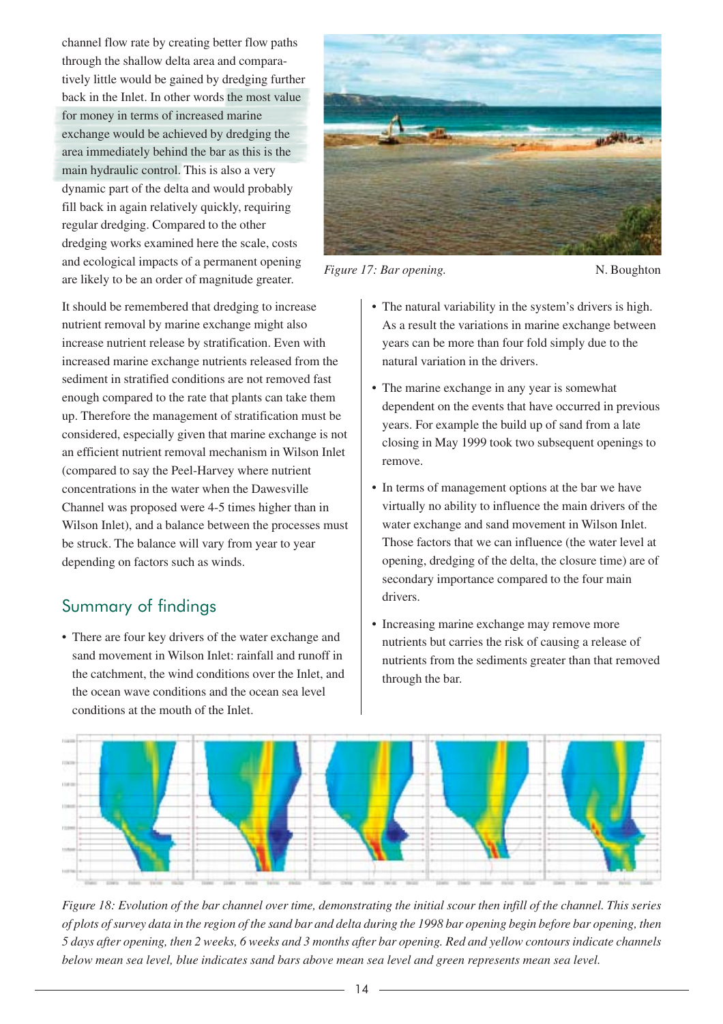channel flow rate by creating better flow paths through the shallow delta area and comparatively little would be gained by dredging further back in the Inlet. In other words the most value for money in terms of increased marine exchange would be achieved by dredging the area immediately behind the bar as this is the main hydraulic control. This is also a very dynamic part of the delta and would probably fill back in again relatively quickly, requiring regular dredging. Compared to the other dredging works examined here the scale, costs and ecological impacts of a permanent opening are likely to be an order of magnitude greater.

It should be remembered that dredging to increase nutrient removal by marine exchange might also increase nutrient release by stratification. Even with increased marine exchange nutrients released from the sediment in stratified conditions are not removed fast enough compared to the rate that plants can take them up. Therefore the management of stratification must be considered, especially given that marine exchange is not an efficient nutrient removal mechanism in Wilson Inlet (compared to say the Peel-Harvey where nutrient concentrations in the water when the Dawesville Channel was proposed were 4-5 times higher than in Wilson Inlet), and a balance between the processes must be struck. The balance will vary from year to year depending on factors such as winds.

# Summary of findings

• There are four key drivers of the water exchange and sand movement in Wilson Inlet: rainfall and runoff in the catchment, the wind conditions over the Inlet, and the ocean wave conditions and the ocean sea level conditions at the mouth of the Inlet.



*Figure 17: Bar opening.* N. Boughton

- The natural variability in the system's drivers is high. As a result the variations in marine exchange between years can be more than four fold simply due to the natural variation in the drivers.
- The marine exchange in any year is somewhat dependent on the events that have occurred in previous years. For example the build up of sand from a late closing in May 1999 took two subsequent openings to remove.
- In terms of management options at the bar we have virtually no ability to influence the main drivers of the water exchange and sand movement in Wilson Inlet. Those factors that we can influence (the water level at opening, dredging of the delta, the closure time) are of secondary importance compared to the four main drivers.
- Increasing marine exchange may remove more nutrients but carries the risk of causing a release of nutrients from the sediments greater than that removed through the bar.



*Figure 18: Evolution of the bar channel over time, demonstrating the initial scour then infill of the channel. This series of plots of survey data in the region of the sand bar and delta during the 1998 bar opening begin before bar opening, then 5 days after opening, then 2 weeks, 6 weeks and 3 months after bar opening. Red and yellow contours indicate channels below mean sea level, blue indicates sand bars above mean sea level and green represents mean sea level.*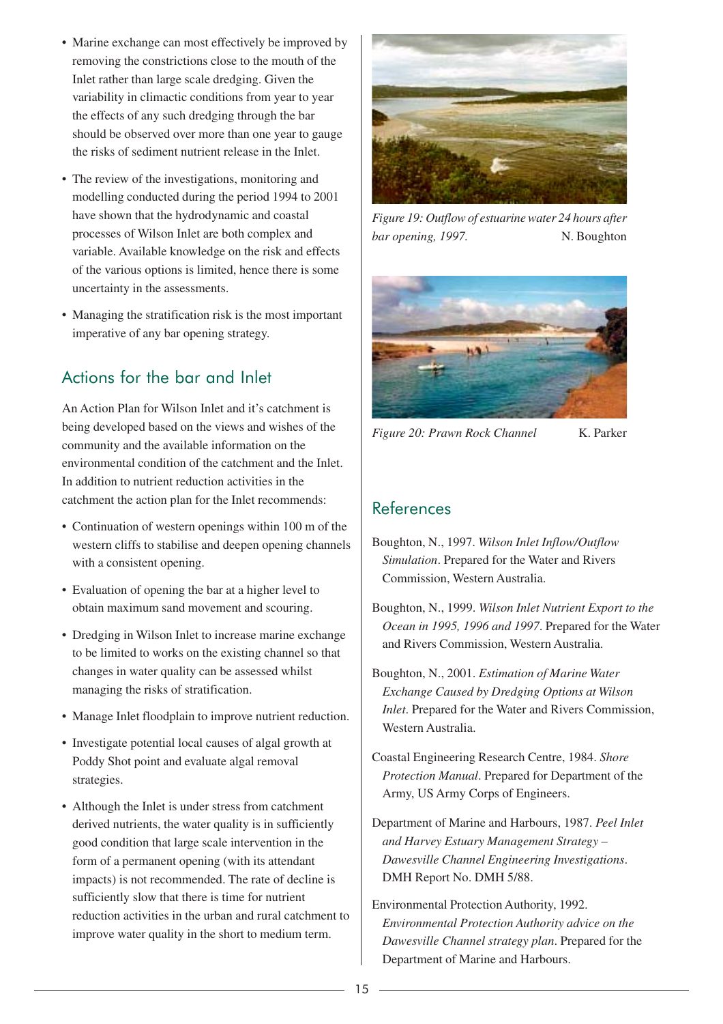- Marine exchange can most effectively be improved by removing the constrictions close to the mouth of the Inlet rather than large scale dredging. Given the variability in climactic conditions from year to year the effects of any such dredging through the bar should be observed over more than one year to gauge the risks of sediment nutrient release in the Inlet.
- The review of the investigations, monitoring and modelling conducted during the period 1994 to 2001 have shown that the hydrodynamic and coastal processes of Wilson Inlet are both complex and variable. Available knowledge on the risk and effects of the various options is limited, hence there is some uncertainty in the assessments.
- Managing the stratification risk is the most important imperative of any bar opening strategy.

# Actions for the bar and Inlet

An Action Plan for Wilson Inlet and it's catchment is being developed based on the views and wishes of the community and the available information on the environmental condition of the catchment and the Inlet. In addition to nutrient reduction activities in the catchment the action plan for the Inlet recommends:

- Continuation of western openings within 100 m of the western cliffs to stabilise and deepen opening channels with a consistent opening.
- Evaluation of opening the bar at a higher level to obtain maximum sand movement and scouring.
- Dredging in Wilson Inlet to increase marine exchange to be limited to works on the existing channel so that changes in water quality can be assessed whilst managing the risks of stratification.
- Manage Inlet floodplain to improve nutrient reduction.
- Investigate potential local causes of algal growth at Poddy Shot point and evaluate algal removal strategies.
- Although the Inlet is under stress from catchment derived nutrients, the water quality is in sufficiently good condition that large scale intervention in the form of a permanent opening (with its attendant impacts) is not recommended. The rate of decline is sufficiently slow that there is time for nutrient reduction activities in the urban and rural catchment to improve water quality in the short to medium term.



*Figure 19: Outflow of estuarine water 24 hours after bar opening, 1997.* N. Boughton



*Figure 20: Prawn Rock Channel* K. Parker

### References

- Boughton, N., 1997. *Wilson Inlet Inflow/Outflow Simulation*. Prepared for the Water and Rivers Commission, Western Australia.
- Boughton, N., 1999. *Wilson Inlet Nutrient Export to the Ocean in 1995, 1996 and 1997*. Prepared for the Water and Rivers Commission, Western Australia.
- Boughton, N., 2001. *Estimation of Marine Water Exchange Caused by Dredging Options at Wilson Inlet*. Prepared for the Water and Rivers Commission, Western Australia.
- Coastal Engineering Research Centre, 1984. *Shore Protection Manual*. Prepared for Department of the Army, US Army Corps of Engineers.
- Department of Marine and Harbours, 1987. *Peel Inlet and Harvey Estuary Management Strategy – Dawesville Channel Engineering Investigations*. DMH Report No. DMH 5/88.
- Environmental Protection Authority, 1992. *Environmental Protection Authority advice on the Dawesville Channel strategy plan*. Prepared for the Department of Marine and Harbours.